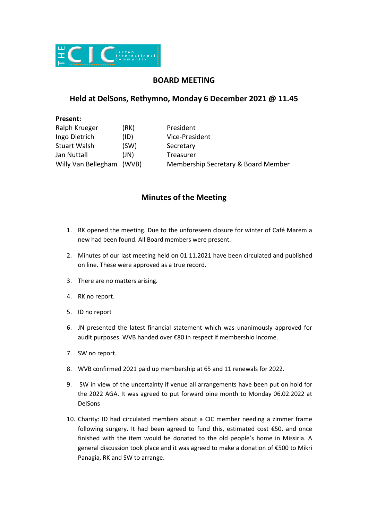

## **BOARD MEETING**

## **Held at DelSons, Rethymno, Monday 6 December 2021 @ 11.45**

| (RK)  | President                           |
|-------|-------------------------------------|
| (ID)  | Vice-President                      |
| (SW)  | Secretary                           |
| (JN)  | Treasurer                           |
| (WVB) | Membership Secretary & Board Member |
|       |                                     |

## **Minutes of the Meeting**

- 1. RK opened the meeting. Due to the unforeseen closure for winter of Café Marem a new had been found. All Board members were present.
- 2. Minutes of our last meeting held on 01.11.2021 have been circulated and published on line. These were approved as a true record.
- 3. There are no matters arising.
- 4. RK no report.
- 5. ID no report
- 6. JN presented the latest financial statement which was unanimously approved for audit purposes. WVB handed over €80 in respect if membershio income.
- 7. SW no report.
- 8. WVB confirmed 2021 paid up membership at 65 and 11 renewals for 2022.
- 9. SW in view of the uncertainty if venue all arrangements have been put on hold for the 2022 AGA. It was agreed to put forward oine month to Monday 06.02.2022 at DelSons
- 10. Charity: ID had circulated members about a CIC member needing a zimmer frame following surgery. It had been agreed to fund this, estimated cost €50, and once finished with the item would be donated to the old people's home in Missiria. A general discussion took place and it was agreed to make a donation of €500 to Mikri Panagia, RK and SW to arrange.